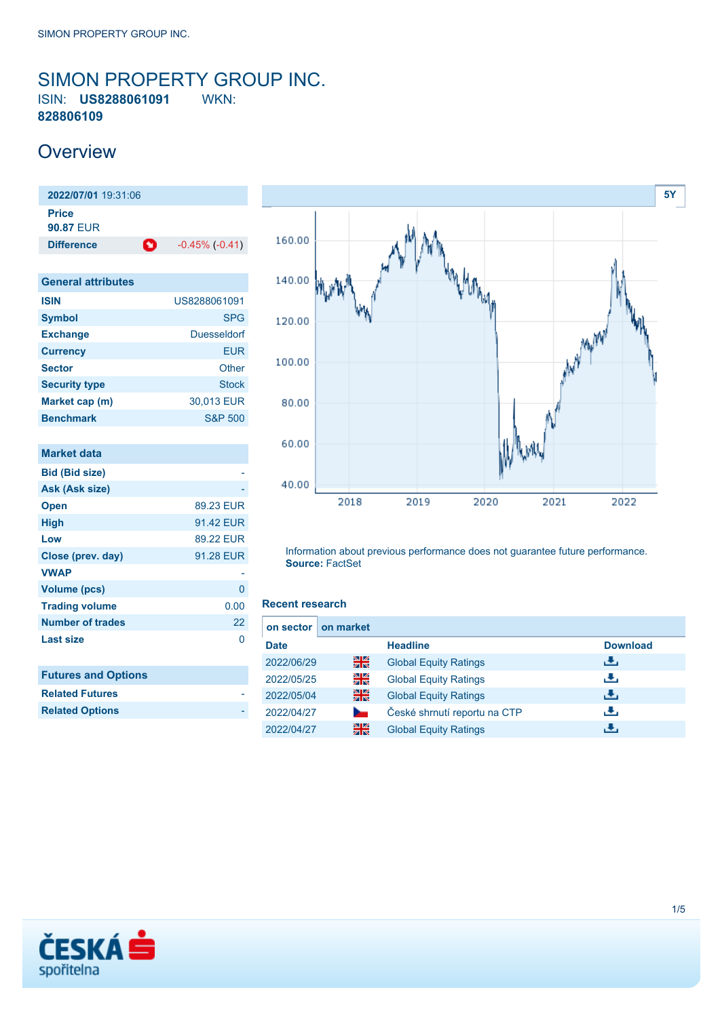### <span id="page-0-0"></span>SIMON PROPERTY GROUP INC. ISIN: **US8288061091** WKN: **828806109**

### **Overview**

**2022/07/01** 19:31:06 **Price 90.87** EUR **Difference C** -0.45% (-0.41)

| <b>General attributes</b> |                    |
|---------------------------|--------------------|
| <b>ISIN</b>               | US8288061091       |
| <b>Symbol</b>             | <b>SPG</b>         |
| <b>Exchange</b>           | <b>Duesseldorf</b> |
| <b>Currency</b>           | EUR                |
| <b>Sector</b>             | Other              |
| <b>Security type</b>      | <b>Stock</b>       |
| Market cap (m)            | 30,013 EUR         |
| <b>Benchmark</b>          | <b>S&amp;P 500</b> |

| Market data                |           |
|----------------------------|-----------|
| <b>Bid (Bid size)</b>      |           |
| Ask (Ask size)             |           |
| <b>Open</b>                | 89.23 EUR |
| <b>High</b>                | 91.42 EUR |
| Low                        | 89.22 EUR |
| Close (prev. day)          | 91.28 EUR |
| <b>VWAP</b>                |           |
| <b>Volume (pcs)</b>        | 0         |
| <b>Trading volume</b>      | 0.00      |
| <b>Number of trades</b>    | 22        |
| <b>Last size</b>           | O         |
| <b>Futures and Options</b> |           |
| <b>Related Futures</b>     |           |
| <b>Related Options</b>     |           |



Information about previous performance does not guarantee future performance. **Source:** FactSet

#### **Recent research**

|             | on sector   on market |                              |                 |
|-------------|-----------------------|------------------------------|-----------------|
| <b>Date</b> |                       | <b>Headline</b>              | <b>Download</b> |
| 2022/06/29  | Ж                     | <b>Global Equity Ratings</b> | رائی            |
| 2022/05/25  | 쯹圈                    | <b>Global Equity Ratings</b> | رنان            |
| 2022/05/04  | 을                     | <b>Global Equity Ratings</b> | æ.              |
| 2022/04/27  |                       | České shrnutí reportu na CTP | æ,              |
| 2022/04/27  | 을중                    | <b>Global Equity Ratings</b> | ٠.              |

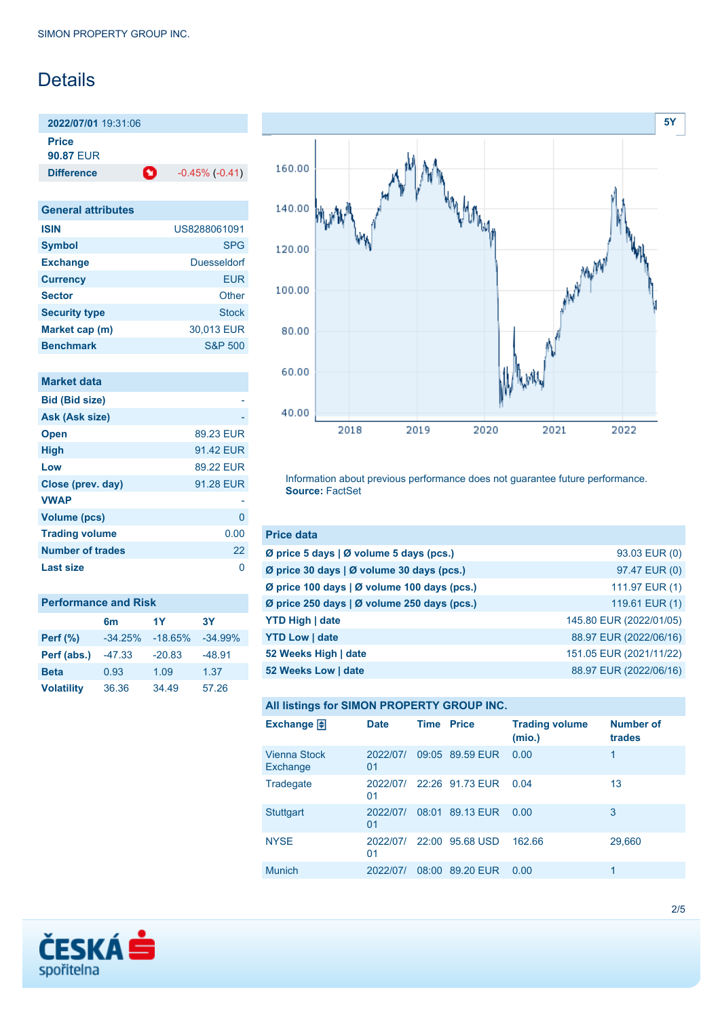## **Details**

**2022/07/01** 19:31:06 **Price**

**90.87** EUR

**Difference 1** -0.45% (-0.41)

| <b>General attributes</b> |                    |
|---------------------------|--------------------|
| <b>ISIN</b>               | US8288061091       |
| <b>Symbol</b>             | <b>SPG</b>         |
| <b>Exchange</b>           | Duesseldorf        |
| <b>Currency</b>           | <b>EUR</b>         |
| <b>Sector</b>             | Other              |
| <b>Security type</b>      | Stock              |
| Market cap (m)            | 30,013 EUR         |
| <b>Benchmark</b>          | <b>S&amp;P 500</b> |

| Market data             |           |
|-------------------------|-----------|
| <b>Bid (Bid size)</b>   |           |
| Ask (Ask size)          |           |
| <b>Open</b>             | 89.23 EUR |
| <b>High</b>             | 91.42 EUR |
| Low                     | 89.22 FUR |
| Close (prev. day)       | 91.28 EUR |
| <b>VWAP</b>             |           |
| <b>Volume (pcs)</b>     | 0         |
| <b>Trading volume</b>   | 0.00      |
| <b>Number of trades</b> | 22        |
| Last size               |           |

| <b>Performance and Risk</b> |           |           |           |  |
|-----------------------------|-----------|-----------|-----------|--|
|                             | 6m        | 1Y        | 3Υ        |  |
| <b>Perf</b> (%)             | $-34.25%$ | $-18.65%$ | $-34.99%$ |  |
| Perf (abs.)                 | $-47.33$  | $-20.83$  | $-48.91$  |  |
| <b>Beta</b>                 | 0.93      | 1.09      | 1.37      |  |
| <b>Volatility</b>           | 36.36     | 34.49     | 57.26     |  |



Information about previous performance does not guarantee future performance. **Source:** FactSet

| <b>Price data</b>                           |                         |
|---------------------------------------------|-------------------------|
| Ø price 5 days   Ø volume 5 days (pcs.)     | 93.03 EUR (0)           |
| Ø price 30 days   Ø volume 30 days (pcs.)   | 97.47 EUR (0)           |
| Ø price 100 days   Ø volume 100 days (pcs.) | 111.97 EUR (1)          |
| Ø price 250 days   Ø volume 250 days (pcs.) | 119.61 EUR (1)          |
| <b>YTD High   date</b>                      | 145.80 EUR (2022/01/05) |
| <b>YTD Low   date</b>                       | 88.97 EUR (2022/06/16)  |
| 52 Weeks High   date                        | 151.05 EUR (2021/11/22) |
| 52 Weeks Low   date                         | 88.97 EUR (2022/06/16)  |

#### **All listings for SIMON PROPERTY GROUP INC.**

| Exchange $\Box$                 | <b>Date</b>    | <b>Time Price</b> |                 | <b>Trading volume</b><br>(mio.) | <b>Number of</b><br>trades |
|---------------------------------|----------------|-------------------|-----------------|---------------------------------|----------------------------|
| <b>Vienna Stock</b><br>Exchange | 2022/07/<br>01 |                   | 09:05 89.59 EUR | 0.00                            | 1                          |
| Tradegate                       | 2022/07/<br>01 |                   | 22:26 91.73 EUR | 0.04                            | 13                         |
| <b>Stuttgart</b>                | 2022/07/<br>01 | 08:01             | 89.13 EUR       | 0.00                            | 3                          |
| <b>NYSE</b>                     | 2022/07/<br>01 |                   | 22:00 95.68 USD | 162.66                          | 29,660                     |
| <b>Munich</b>                   | 2022/07/       | 08:00             | 89.20 EUR       | 0.00                            | 1                          |

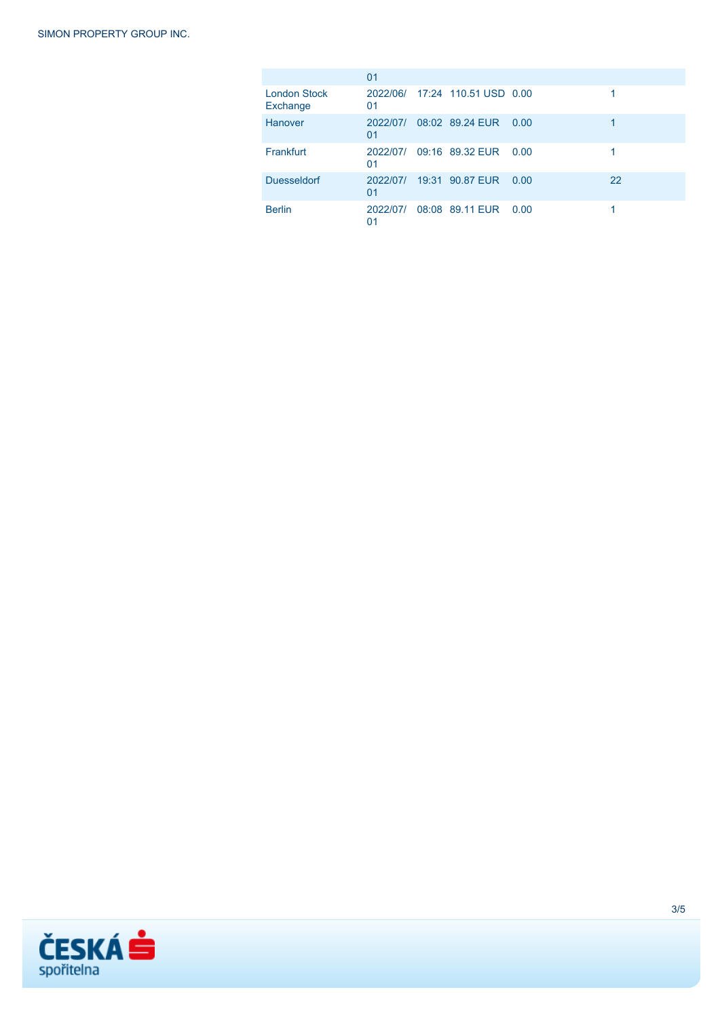|                                 | 01             |                                |      |    |
|---------------------------------|----------------|--------------------------------|------|----|
| <b>London Stock</b><br>Exchange | 01             | 2022/06/ 17:24 110.51 USD 0.00 |      |    |
| Hanover                         | 2022/07/<br>01 | 08:02 89.24 EUR                | 0.00 |    |
| Frankfurt                       | 2022/07/<br>01 | 09:16 89.32 EUR                | 0.00 |    |
| <b>Duesseldorf</b>              | 2022/07/<br>01 | 19:31 90.87 EUR                | 0.00 | 22 |
| <b>Berlin</b>                   | 2022/07/<br>01 | 08:08 89.11 EUR 0.00           |      |    |

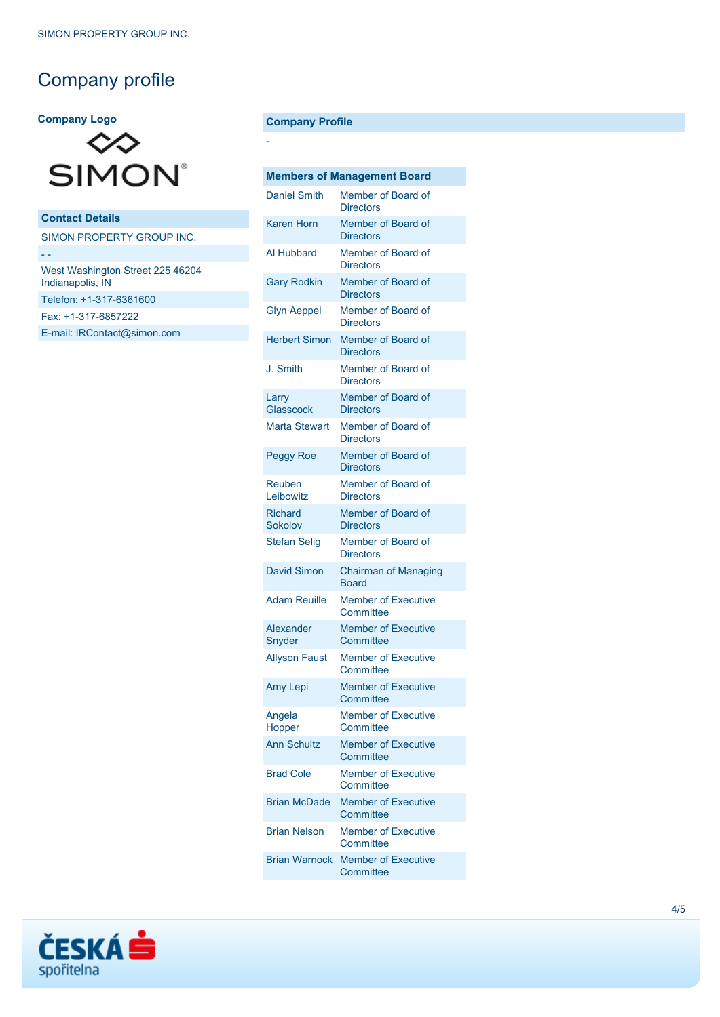# Company profile

#### **Company Logo**



**Contact Details** SIMON PROPERTY GROUP INC. - - West Washington Street 225 46204 Indianapolis, IN Telefon: +1-317-6361600 Fax: +1-317-6857222 [E-mail: IRContact@simon.com](mailto:IRContact@simon.com)

#### **Company Profile**

-

| <b>Members of Management Board</b> |                                         |  |  |
|------------------------------------|-----------------------------------------|--|--|
| <b>Daniel Smith</b>                | Member of Board of<br><b>Directors</b>  |  |  |
| Karen Horn                         | Member of Board of<br><b>Directors</b>  |  |  |
| Al Hubbard                         | Member of Board of<br><b>Directors</b>  |  |  |
| <b>Gary Rodkin</b>                 | Member of Board of<br><b>Directors</b>  |  |  |
| <b>Glyn Aeppel</b>                 | Member of Board of<br><b>Directors</b>  |  |  |
| <b>Herbert Simon</b>               | Member of Board of<br><b>Directors</b>  |  |  |
| J. Smith                           | Member of Board of<br><b>Directors</b>  |  |  |
| Larry<br>Glasscock                 | Member of Board of<br><b>Directors</b>  |  |  |
| <b>Marta Stewart</b>               | Member of Board of<br><b>Directors</b>  |  |  |
| <b>Peggy Roe</b>                   | Member of Board of<br><b>Directors</b>  |  |  |
| Reuben<br>Leibowitz                | Member of Board of<br><b>Directors</b>  |  |  |
| <b>Richard</b><br>Sokolov          | Member of Board of<br><b>Directors</b>  |  |  |
| <b>Stefan Selig</b>                | Member of Board of<br><b>Directors</b>  |  |  |
| <b>David Simon</b>                 | <b>Chairman of Managing</b><br>Board    |  |  |
| <b>Adam Reuille</b>                | <b>Member of Executive</b><br>Committee |  |  |
| Alexander<br>Snyder                | <b>Member of Executive</b><br>Committee |  |  |
| <b>Allyson Faust</b>               | <b>Member of Executive</b><br>Committee |  |  |
| Amy Lepi                           | <b>Member of Executive</b><br>Committee |  |  |
| Angela<br>Hopper                   | Member of Executive<br>Committee        |  |  |
| <b>Ann Schultz</b>                 | <b>Member of Executive</b><br>Committee |  |  |
| <b>Brad Cole</b>                   | <b>Member of Executive</b><br>Committee |  |  |
| <b>Brian McDade</b>                | <b>Member of Executive</b><br>Committee |  |  |
| <b>Brian Nelson</b>                | <b>Member of Executive</b><br>Committee |  |  |
| <b>Brian Warnock</b>               | <b>Member of Executive</b><br>Committee |  |  |